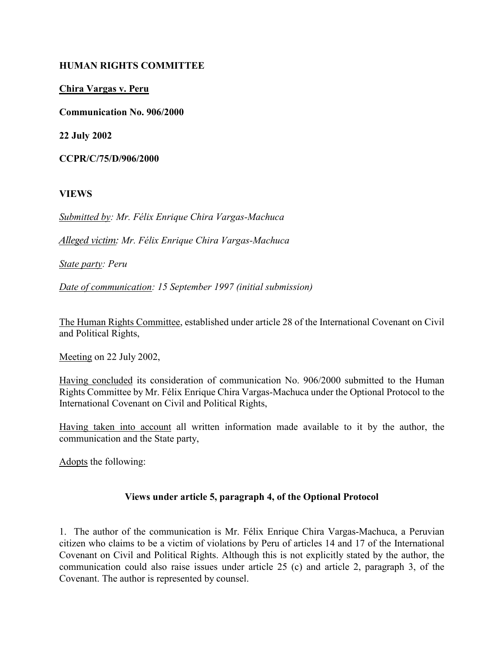## HUMAN RIGHTS COMMITTEE

## Chira Vargas v. Peru

Communication No. 906/2000

22 July 2002

CCPR/C/75/D/906/2000

#### VIEWS

Submitted by: Mr. Félix Enrique Chira Vargas-Machuca

Alleged victim: Mr. Félix Enrique Chira Vargas-Machuca

State party: Peru

Date of communication: 15 September 1997 (initial submission)

The Human Rights Committee, established under article 28 of the International Covenant on Civil and Political Rights,

Meeting on 22 July 2002,

Having concluded its consideration of communication No. 906/2000 submitted to the Human Rights Committee by Mr. Félix Enrique Chira Vargas-Machuca under the Optional Protocol to the International Covenant on Civil and Political Rights,

Having taken into account all written information made available to it by the author, the communication and the State party,

Adopts the following:

#### Views under article 5, paragraph 4, of the Optional Protocol

1. The author of the communication is Mr. Félix Enrique Chira Vargas-Machuca, a Peruvian citizen who claims to be a victim of violations by Peru of articles 14 and 17 of the International Covenant on Civil and Political Rights. Although this is not explicitly stated by the author, the communication could also raise issues under article 25 (c) and article 2, paragraph 3, of the Covenant. The author is represented by counsel.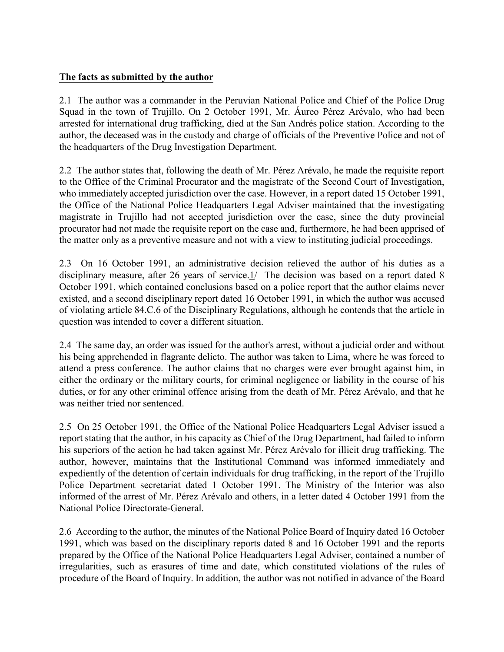## The facts as submitted by the author

2.1 The author was a commander in the Peruvian National Police and Chief of the Police Drug Squad in the town of Trujillo. On 2 October 1991, Mr. Áureo Pérez Arévalo, who had been arrested for international drug trafficking, died at the San Andrés police station. According to the author, the deceased was in the custody and charge of officials of the Preventive Police and not of the headquarters of the Drug Investigation Department.

2.2 The author states that, following the death of Mr. Pérez Arévalo, he made the requisite report to the Office of the Criminal Procurator and the magistrate of the Second Court of Investigation, who immediately accepted jurisdiction over the case. However, in a report dated 15 October 1991, the Office of the National Police Headquarters Legal Adviser maintained that the investigating magistrate in Trujillo had not accepted jurisdiction over the case, since the duty provincial procurator had not made the requisite report on the case and, furthermore, he had been apprised of the matter only as a preventive measure and not with a view to instituting judicial proceedings.

2.3 On 16 October 1991, an administrative decision relieved the author of his duties as a disciplinary measure, after 26 years of service.1/ The decision was based on a report dated 8 October 1991, which contained conclusions based on a police report that the author claims never existed, and a second disciplinary report dated 16 October 1991, in which the author was accused of violating article 84.C.6 of the Disciplinary Regulations, although he contends that the article in question was intended to cover a different situation.

2.4 The same day, an order was issued for the author's arrest, without a judicial order and without his being apprehended in flagrante delicto. The author was taken to Lima, where he was forced to attend a press conference. The author claims that no charges were ever brought against him, in either the ordinary or the military courts, for criminal negligence or liability in the course of his duties, or for any other criminal offence arising from the death of Mr. Pérez Arévalo, and that he was neither tried nor sentenced.

2.5 On 25 October 1991, the Office of the National Police Headquarters Legal Adviser issued a report stating that the author, in his capacity as Chief of the Drug Department, had failed to inform his superiors of the action he had taken against Mr. Pérez Arévalo for illicit drug trafficking. The author, however, maintains that the Institutional Command was informed immediately and expediently of the detention of certain individuals for drug trafficking, in the report of the Trujillo Police Department secretariat dated 1 October 1991. The Ministry of the Interior was also informed of the arrest of Mr. Pérez Arévalo and others, in a letter dated 4 October 1991 from the National Police Directorate-General.

2.6 According to the author, the minutes of the National Police Board of Inquiry dated 16 October 1991, which was based on the disciplinary reports dated 8 and 16 October 1991 and the reports prepared by the Office of the National Police Headquarters Legal Adviser, contained a number of irregularities, such as erasures of time and date, which constituted violations of the rules of procedure of the Board of Inquiry. In addition, the author was not notified in advance of the Board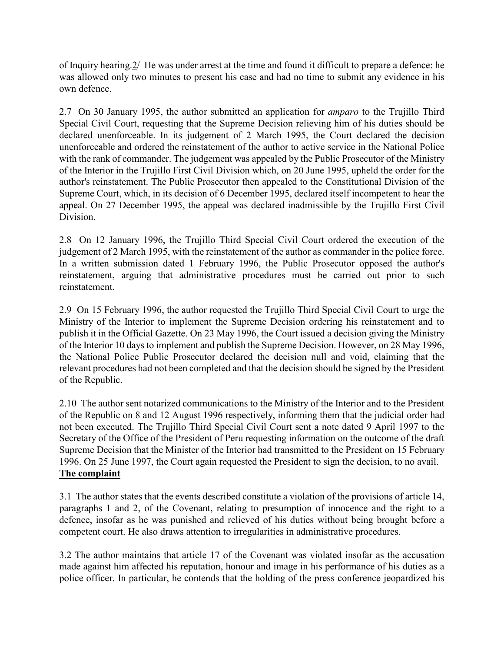of Inquiry hearing.2/ He was under arrest at the time and found it difficult to prepare a defence: he was allowed only two minutes to present his case and had no time to submit any evidence in his own defence.

2.7 On 30 January 1995, the author submitted an application for amparo to the Trujillo Third Special Civil Court, requesting that the Supreme Decision relieving him of his duties should be declared unenforceable. In its judgement of 2 March 1995, the Court declared the decision unenforceable and ordered the reinstatement of the author to active service in the National Police with the rank of commander. The judgement was appealed by the Public Prosecutor of the Ministry of the Interior in the Trujillo First Civil Division which, on 20 June 1995, upheld the order for the author's reinstatement. The Public Prosecutor then appealed to the Constitutional Division of the Supreme Court, which, in its decision of 6 December 1995, declared itself incompetent to hear the appeal. On 27 December 1995, the appeal was declared inadmissible by the Trujillo First Civil Division.

2.8 On 12 January 1996, the Trujillo Third Special Civil Court ordered the execution of the judgement of 2 March 1995, with the reinstatement of the author as commander in the police force. In a written submission dated 1 February 1996, the Public Prosecutor opposed the author's reinstatement, arguing that administrative procedures must be carried out prior to such reinstatement.

2.9 On 15 February 1996, the author requested the Trujillo Third Special Civil Court to urge the Ministry of the Interior to implement the Supreme Decision ordering his reinstatement and to publish it in the Official Gazette. On 23 May 1996, the Court issued a decision giving the Ministry of the Interior 10 days to implement and publish the Supreme Decision. However, on 28 May 1996, the National Police Public Prosecutor declared the decision null and void, claiming that the relevant procedures had not been completed and that the decision should be signed by the President of the Republic.

2.10 The author sent notarized communications to the Ministry of the Interior and to the President of the Republic on 8 and 12 August 1996 respectively, informing them that the judicial order had not been executed. The Trujillo Third Special Civil Court sent a note dated 9 April 1997 to the Secretary of the Office of the President of Peru requesting information on the outcome of the draft Supreme Decision that the Minister of the Interior had transmitted to the President on 15 February 1996. On 25 June 1997, the Court again requested the President to sign the decision, to no avail. The complaint

3.1 The author states that the events described constitute a violation of the provisions of article 14, paragraphs 1 and 2, of the Covenant, relating to presumption of innocence and the right to a defence, insofar as he was punished and relieved of his duties without being brought before a competent court. He also draws attention to irregularities in administrative procedures.

3.2 The author maintains that article 17 of the Covenant was violated insofar as the accusation made against him affected his reputation, honour and image in his performance of his duties as a police officer. In particular, he contends that the holding of the press conference jeopardized his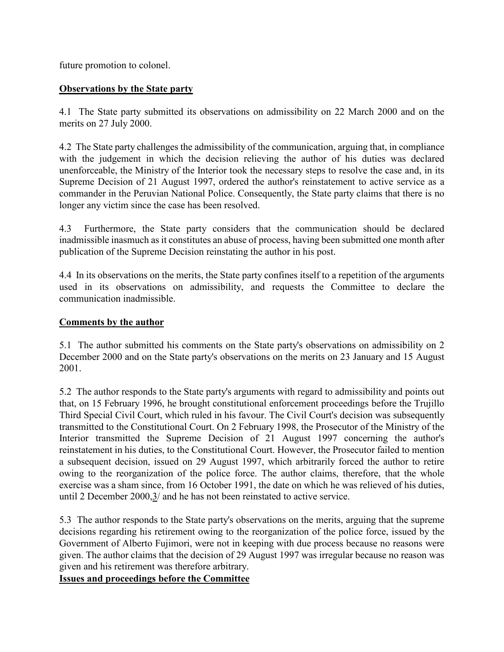future promotion to colonel.

## Observations by the State party

4.1 The State party submitted its observations on admissibility on 22 March 2000 and on the merits on 27 July 2000.

4.2 The State party challenges the admissibility of the communication, arguing that, in compliance with the judgement in which the decision relieving the author of his duties was declared unenforceable, the Ministry of the Interior took the necessary steps to resolve the case and, in its Supreme Decision of 21 August 1997, ordered the author's reinstatement to active service as a commander in the Peruvian National Police. Consequently, the State party claims that there is no longer any victim since the case has been resolved.

4.3 Furthermore, the State party considers that the communication should be declared inadmissible inasmuch as it constitutes an abuse of process, having been submitted one month after publication of the Supreme Decision reinstating the author in his post.

4.4 In its observations on the merits, the State party confines itself to a repetition of the arguments used in its observations on admissibility, and requests the Committee to declare the communication inadmissible.

### Comments by the author

5.1 The author submitted his comments on the State party's observations on admissibility on 2 December 2000 and on the State party's observations on the merits on 23 January and 15 August 2001.

5.2 The author responds to the State party's arguments with regard to admissibility and points out that, on 15 February 1996, he brought constitutional enforcement proceedings before the Trujillo Third Special Civil Court, which ruled in his favour. The Civil Court's decision was subsequently transmitted to the Constitutional Court. On 2 February 1998, the Prosecutor of the Ministry of the Interior transmitted the Supreme Decision of 21 August 1997 concerning the author's reinstatement in his duties, to the Constitutional Court. However, the Prosecutor failed to mention a subsequent decision, issued on 29 August 1997, which arbitrarily forced the author to retire owing to the reorganization of the police force. The author claims, therefore, that the whole exercise was a sham since, from 16 October 1991, the date on which he was relieved of his duties, until 2 December 2000,3/ and he has not been reinstated to active service.

5.3 The author responds to the State party's observations on the merits, arguing that the supreme decisions regarding his retirement owing to the reorganization of the police force, issued by the Government of Alberto Fujimori, were not in keeping with due process because no reasons were given. The author claims that the decision of 29 August 1997 was irregular because no reason was given and his retirement was therefore arbitrary.

Issues and proceedings before the Committee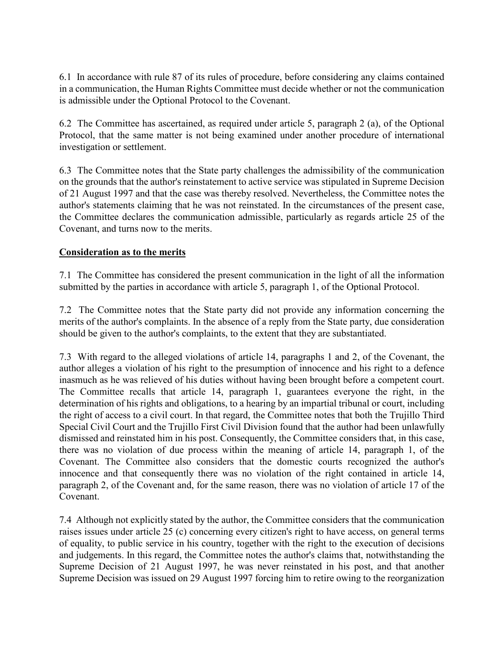6.1 In accordance with rule 87 of its rules of procedure, before considering any claims contained in a communication, the Human Rights Committee must decide whether or not the communication is admissible under the Optional Protocol to the Covenant.

6.2 The Committee has ascertained, as required under article 5, paragraph 2 (a), of the Optional Protocol, that the same matter is not being examined under another procedure of international investigation or settlement.

6.3 The Committee notes that the State party challenges the admissibility of the communication on the grounds that the author's reinstatement to active service was stipulated in Supreme Decision of 21 August 1997 and that the case was thereby resolved. Nevertheless, the Committee notes the author's statements claiming that he was not reinstated. In the circumstances of the present case, the Committee declares the communication admissible, particularly as regards article 25 of the Covenant, and turns now to the merits.

## Consideration as to the merits

7.1 The Committee has considered the present communication in the light of all the information submitted by the parties in accordance with article 5, paragraph 1, of the Optional Protocol.

7.2 The Committee notes that the State party did not provide any information concerning the merits of the author's complaints. In the absence of a reply from the State party, due consideration should be given to the author's complaints, to the extent that they are substantiated.

7.3 With regard to the alleged violations of article 14, paragraphs 1 and 2, of the Covenant, the author alleges a violation of his right to the presumption of innocence and his right to a defence inasmuch as he was relieved of his duties without having been brought before a competent court. The Committee recalls that article 14, paragraph 1, guarantees everyone the right, in the determination of his rights and obligations, to a hearing by an impartial tribunal or court, including the right of access to a civil court. In that regard, the Committee notes that both the Trujillo Third Special Civil Court and the Trujillo First Civil Division found that the author had been unlawfully dismissed and reinstated him in his post. Consequently, the Committee considers that, in this case, there was no violation of due process within the meaning of article 14, paragraph 1, of the Covenant. The Committee also considers that the domestic courts recognized the author's innocence and that consequently there was no violation of the right contained in article 14, paragraph 2, of the Covenant and, for the same reason, there was no violation of article 17 of the Covenant.

7.4 Although not explicitly stated by the author, the Committee considers that the communication raises issues under article 25 (c) concerning every citizen's right to have access, on general terms of equality, to public service in his country, together with the right to the execution of decisions and judgements. In this regard, the Committee notes the author's claims that, notwithstanding the Supreme Decision of 21 August 1997, he was never reinstated in his post, and that another Supreme Decision was issued on 29 August 1997 forcing him to retire owing to the reorganization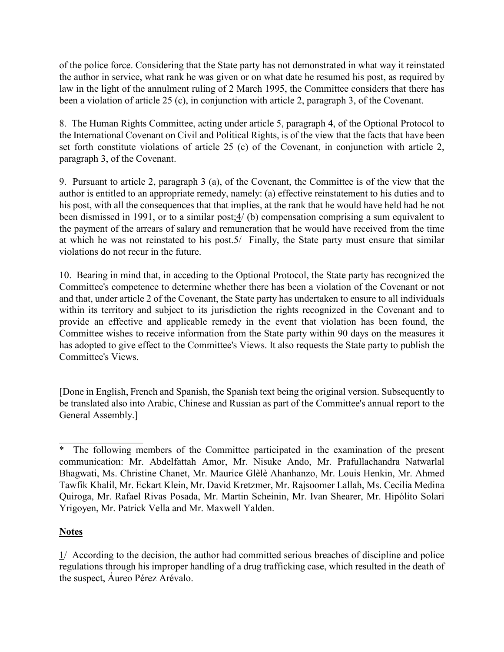of the police force. Considering that the State party has not demonstrated in what way it reinstated the author in service, what rank he was given or on what date he resumed his post, as required by law in the light of the annulment ruling of 2 March 1995, the Committee considers that there has been a violation of article 25 (c), in conjunction with article 2, paragraph 3, of the Covenant.

8. The Human Rights Committee, acting under article 5, paragraph 4, of the Optional Protocol to the International Covenant on Civil and Political Rights, is of the view that the facts that have been set forth constitute violations of article 25 (c) of the Covenant, in conjunction with article 2, paragraph 3, of the Covenant.

9. Pursuant to article 2, paragraph 3 (a), of the Covenant, the Committee is of the view that the author is entitled to an appropriate remedy, namely: (a) effective reinstatement to his duties and to his post, with all the consequences that that implies, at the rank that he would have held had he not been dismissed in 1991, or to a similar post;4/ (b) compensation comprising a sum equivalent to the payment of the arrears of salary and remuneration that he would have received from the time at which he was not reinstated to his post.5/ Finally, the State party must ensure that similar violations do not recur in the future.

10. Bearing in mind that, in acceding to the Optional Protocol, the State party has recognized the Committee's competence to determine whether there has been a violation of the Covenant or not and that, under article 2 of the Covenant, the State party has undertaken to ensure to all individuals within its territory and subject to its jurisdiction the rights recognized in the Covenant and to provide an effective and applicable remedy in the event that violation has been found, the Committee wishes to receive information from the State party within 90 days on the measures it has adopted to give effect to the Committee's Views. It also requests the State party to publish the Committee's Views.

[Done in English, French and Spanish, the Spanish text being the original version. Subsequently to be translated also into Arabic, Chinese and Russian as part of the Committee's annual report to the General Assembly.]

# **Notes**

 $\_$ 

 $1/$  According to the decision, the author had committed serious breaches of discipline and police regulations through his improper handling of a drug trafficking case, which resulted in the death of the suspect, Áureo Pérez Arévalo.

The following members of the Committee participated in the examination of the present communication: Mr. Abdelfattah Amor, Mr. Nisuke Ando, Mr. Prafullachandra Natwarlal Bhagwati, Ms. Christine Chanet, Mr. Maurice Glèlè Ahanhanzo, Mr. Louis Henkin, Mr. Ahmed Tawfik Khalil, Mr. Eckart Klein, Mr. David Kretzmer, Mr. Rajsoomer Lallah, Ms. Cecilia Medina Quiroga, Mr. Rafael Rivas Posada, Mr. Martin Scheinin, Mr. Ivan Shearer, Mr. Hipólito Solari Yrigoyen, Mr. Patrick Vella and Mr. Maxwell Yalden.